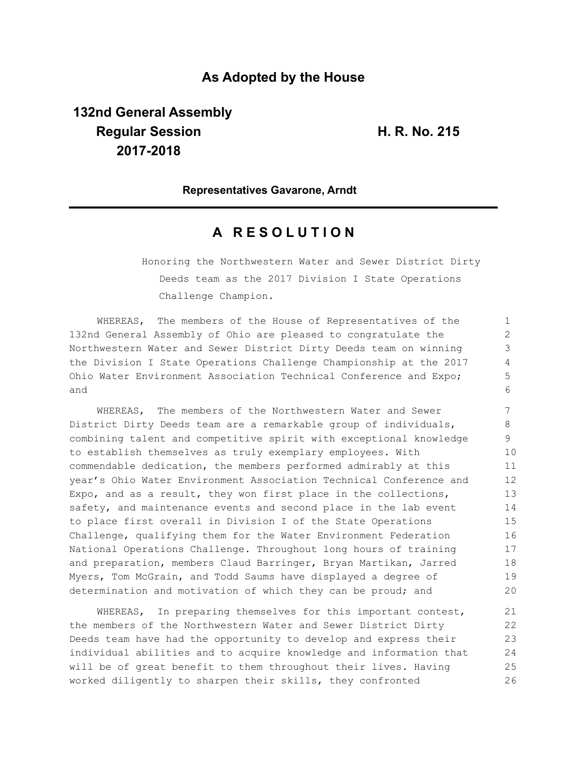## **As Adopted by the House**

**132nd General Assembly Regular Session H. R. No. 215 2017-2018**

**Representatives Gavarone, Arndt**

## **A R E S O L U T I O N**

Honoring the Northwestern Water and Sewer District Dirty Deeds team as the 2017 Division I State Operations Challenge Champion.

WHEREAS, The members of the House of Representatives of the 132nd General Assembly of Ohio are pleased to congratulate the Northwestern Water and Sewer District Dirty Deeds team on winning the Division I State Operations Challenge Championship at the 2017 Ohio Water Environment Association Technical Conference and Expo; and

WHEREAS, The members of the Northwestern Water and Sewer District Dirty Deeds team are a remarkable group of individuals, combining talent and competitive spirit with exceptional knowledge to establish themselves as truly exemplary employees. With commendable dedication, the members performed admirably at this year's Ohio Water Environment Association Technical Conference and Expo, and as a result, they won first place in the collections, safety, and maintenance events and second place in the lab event to place first overall in Division I of the State Operations Challenge, qualifying them for the Water Environment Federation National Operations Challenge. Throughout long hours of training and preparation, members Claud Barringer, Bryan Martikan, Jarred Myers, Tom McGrain, and Todd Saums have displayed a degree of determination and motivation of which they can be proud; and

WHEREAS, In preparing themselves for this important contest, the members of the Northwestern Water and Sewer District Dirty Deeds team have had the opportunity to develop and express their individual abilities and to acquire knowledge and information that will be of great benefit to them throughout their lives. Having worked diligently to sharpen their skills, they confronted 21 22 23 24 25 26